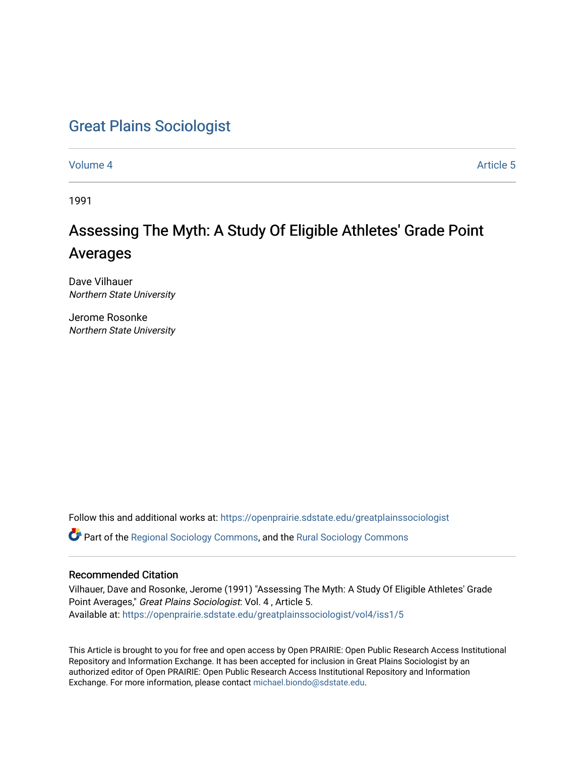# [Great Plains Sociologist](https://openprairie.sdstate.edu/greatplainssociologist)

[Volume 4](https://openprairie.sdstate.edu/greatplainssociologist/vol4) Article 5

1991

# Assessing The Myth: A Study Of Eligible Athletes' Grade Point Averages

Dave Vilhauer Northern State University

Jerome Rosonke Northern State University

Follow this and additional works at: [https://openprairie.sdstate.edu/greatplainssociologist](https://openprairie.sdstate.edu/greatplainssociologist?utm_source=openprairie.sdstate.edu%2Fgreatplainssociologist%2Fvol4%2Fiss1%2F5&utm_medium=PDF&utm_campaign=PDFCoverPages) 

Part of the [Regional Sociology Commons](http://network.bepress.com/hgg/discipline/427?utm_source=openprairie.sdstate.edu%2Fgreatplainssociologist%2Fvol4%2Fiss1%2F5&utm_medium=PDF&utm_campaign=PDFCoverPages), and the [Rural Sociology Commons](http://network.bepress.com/hgg/discipline/428?utm_source=openprairie.sdstate.edu%2Fgreatplainssociologist%2Fvol4%2Fiss1%2F5&utm_medium=PDF&utm_campaign=PDFCoverPages) 

# Recommended Citation

Vilhauer, Dave and Rosonke, Jerome (1991) "Assessing The Myth: A Study Of Eligible Athletes' Grade Point Averages," Great Plains Sociologist: Vol. 4 , Article 5. Available at: [https://openprairie.sdstate.edu/greatplainssociologist/vol4/iss1/5](https://openprairie.sdstate.edu/greatplainssociologist/vol4/iss1/5?utm_source=openprairie.sdstate.edu%2Fgreatplainssociologist%2Fvol4%2Fiss1%2F5&utm_medium=PDF&utm_campaign=PDFCoverPages) 

This Article is brought to you for free and open access by Open PRAIRIE: Open Public Research Access Institutional Repository and Information Exchange. It has been accepted for inclusion in Great Plains Sociologist by an authorized editor of Open PRAIRIE: Open Public Research Access Institutional Repository and Information Exchange. For more information, please contact [michael.biondo@sdstate.edu.](mailto:michael.biondo@sdstate.edu)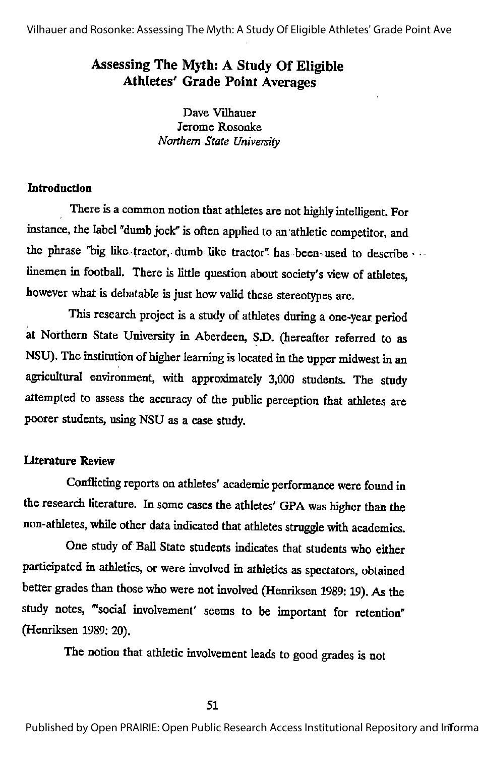Vilhauer and Rosonke: Assessing The Myth: A Study Of Eligible Athletes' Grade Point Ave

# Assessing The Myth: A Study Of Eligible Athletes' Grade Point Averages

Dave Vilhauer Jerome Rosonke Northern State University

# **Introduction**

There is a common notion that athletes are not highly intelligent. For instance, the label "dumb jock" is often applied to an athletic competitor, and the phrase "big like-tractor, dumb like tractor" has been used to describe linemen in football. There is little question about society's view of athletes, however what is debatable is just how valid these stereotypes are.

This research project is a study of athletes during a one-year period at Northern State University in Aberdeen, S.D. (hereafter referred to as NSU). The institution of higher learning is located in the upper midwest in an agricultural environment, with approximately 3,000 students. The study attempted to assess the accuracy of the public perception that athletes are poorer students, using NSU as a case study.

## Literature Review

Conflicting reports on athletes' academic performance were found in the research literature. In some cases the athletes' GPA was higher than the non-athletes, while other data indicated that athletes struggle with academics.

One study of Ball State students indicates that students who either participated in athletics, or were involved in athletics as spectators, obtained better grades than those who were not involved (Henriksen 1989:19). As the study notes, "'social involvement' seems to be important for retention" (Henriksen 1989: 20).

The notion that athletic involvement leads togood grades is not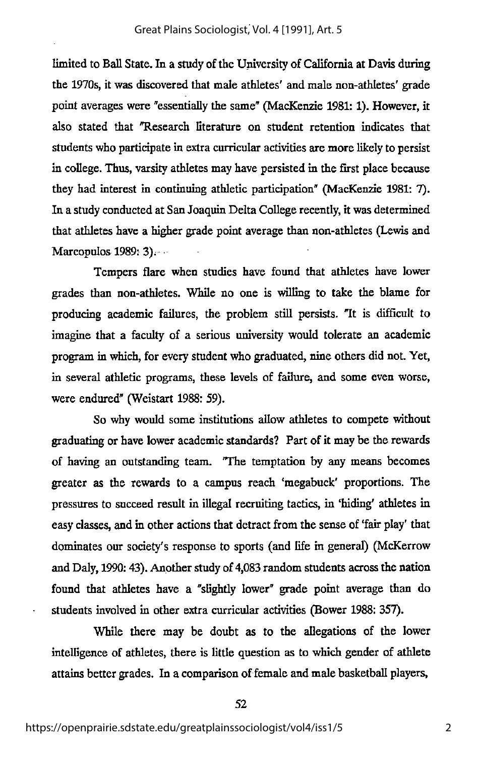limited to Ball State. In a study of the University of California at Davis during the 1970s, it was discovered that male athletes' and male non-athletes' grade point averages were "essentially the same" (MacKenzie 1981: 1). However, it also stated that "Research literature on student retention indicates that students who participate in extra curricular activities are more likely to persist in college. Thus, varsity athletes may have persisted in the first place because they had interest in continuing athletic participation" (MacKenzie 1981: 7). In a study conducted at San Joaquin Delta College recently, it was determined that athletes have a higher grade point average than non-athletes (Lewis and Marcopulos 1989: 3).

Tempers flare when studies have found that athletes have lower grades than non-athletes. While no one is willing to take the blame for producing academic failures, the problem still persists. Tt is difficult to imagine that a faculty of a serious university would tolerate an academic program in which, for everystudent who graduated, nine others did not. Yet, in several athletic programs, these levels of failure, and some even worse, were endured" (Weistart 1988: 59).

So why would some institutions allow athletes to compete without graduating or have lower academic standards? Part of it may be the rewards of having an outstanding team. The temptation by any means becomes greater as the rewards to a campus reach ^megabuck' proportions. The pressures to succeed result in illegal recruiting tactics, in 'hiding' athletes in easy classes, and m other actions that detract from the sense of 'fair play' that dominates our society's response to sports (and life in general) (McKerrow and Daly, 1990: 43). Another study of 4,083 random students across the nation found that athletes have a "slightly lower" grade point average than do students involved m other extra curricular activities (Bower 1988: 357).

While there may be doubt as to the allegations of the lower intelligence of athletes, there is little question as to which gender of athlete attains better grades. In a comparison of female and male basketball players,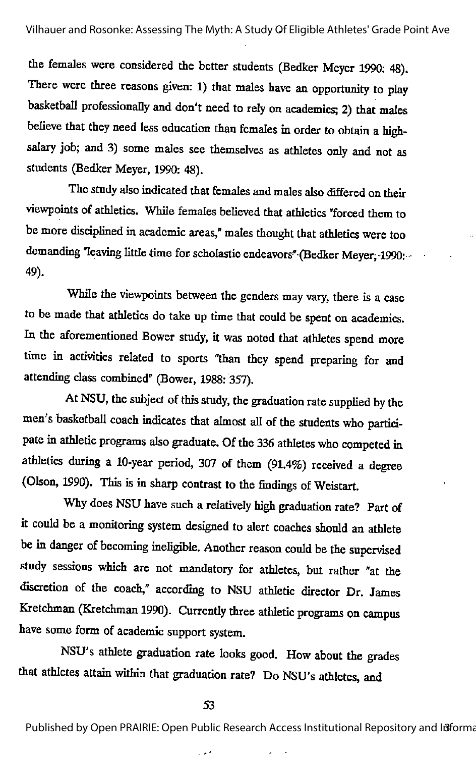the females were considered the better students (Bedker Meyer 1990: 48). There were three reasons given: 1) that males have an opportunity to play basketball professionally and don't need to rely on academics; 2) that males believe that they need less education than females in order to obtain a highsalary job; and 3) some males see themselves as athletes only and not as students (Bedker Meyer, 1990: 48).

The study also indicated that females and males also differed on their viewpoints of athletics. While females believed that athletics "forced them to be more disciplined in academic areas," males thought that athletics were too demanding "leaving little time for scholastic endeavors" (Bedker Meyer, 1990: •• 49).

While the viewpoints between the genders may vary, there is a case to be made that athletics do take up time that could be spent on academics. In the aforementioned Bower study, it was noted that athletes spend more time in activities related to sports "than they spend preparing for and attending class combined" (Bower, 1988: 357),

At NSU, the subject of this study, the graduation rate supplied by the men's basketball coach indicates that almost all of the students who participate in athletic programs also graduate. Of the 336 athletes who competed in athletics during a 10-year period, 307 of them (91.4%) received a degree (Olson, 1990). This is in sharp contrast to the findings of Weistart.

Why does NSU have such a relatively high graduation rate? Part of it could be a monitoring system designed to alert coaches should an athlete be in danger of becoming ineligible. Another reason could be the supervised study sessions which are not mandatory for athletes, but rather "at the discretion of the coach," according to NSU athletic director Dr. James Kretchman (Kretchman 1990). Currently three athletic programs on campus have some form of academic support system.

NSU's athlete graduation rate looks good. How about the grades that athletes attain within that graduation rate? Do NSU's athletes, and

#### 53

Published by Open PRAIRIE: Open Public Research Access Institutional Repository and Informa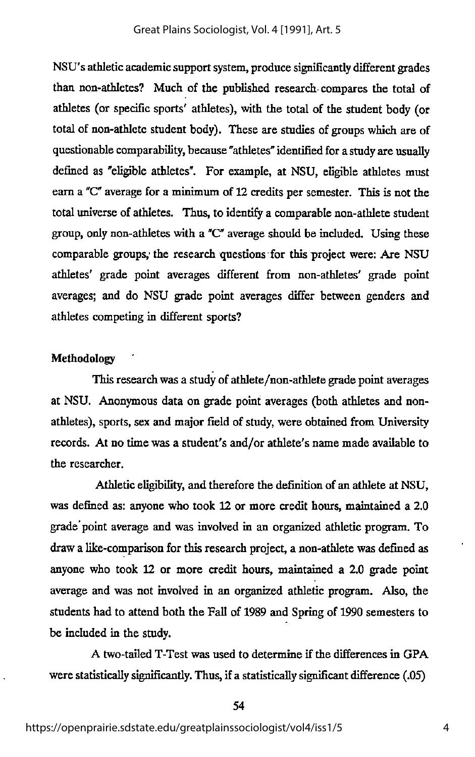NSU's athletic academic support system, produce significantly different grades than non-athletes? Much of the published research, compares the total of athletes (or specific sports' athletes), with the total of the student body (or total of non-athlete student body). These are studies of groups which are of questionable comparability, because "athletes" identified for a study are usually defined as "eligible athletes". For example, at NSU, eligible athletes must earn a "C" average for a minimum of 12 credits per semester. This is not the total universe of athletes. Thus, to identify a comparable non-athlete student group, only non-athletes with a " $C$ " average should be included. Using these comparable groups; the research questions for this project were: Are NSU athletes' grade point averages different from non-athletes' grade point averages; and do NSU grade point averages differ between genders and athletes competing in different sports?

## Methodology

This research was a study of athlete/non-athlete grade point averages at NSU. Anonymous data on grade point averages (both athletes and nonathletes), sports, sex and major field of study, were obtained from University records. At no time was a student's and/or athlete's name made available to the researcher.

Athletic eligibility, and therefore the definition of an athlete at NSU, was defined as: anyone who took 12 or more credit hours, maintained a 2.0 grade'point average and wasinvolved in an organized athletic program. To draw a like-comparison for this research project, a non-athlete was defined as anyone who took 12 or more credit hours, maintained a 2.0 grade point average and was not involved in an organized athletic program. Also, the students had to attend both the Fall of 1989 and Spring of 1990 semesters to be included in the study.

A two-tailed T-Test was used to determine if the differences in GPA were statistically significantly. Thus, if a statistically significant difference(.05)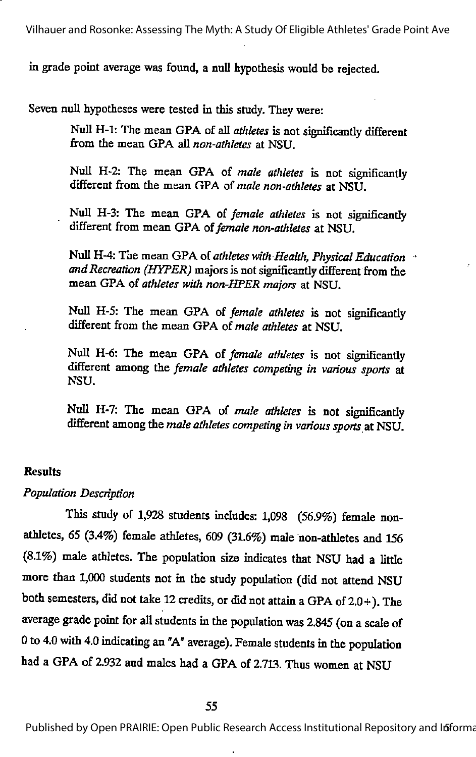Vilhauer and Rosonke: Assessing The Myth: A Study Of Eligible Athletes' Grade Point Ave

in grade point average was found, a null hypothesis would be rejected.

Seven null hypotheses were tested in this study. They were:

Null H-1: The mean GPA of all athletes is not significantly different from the mean GPA all non-athletes at NSU.

Null H-2: The mean GPA of male athletes is not significantly different from the mean GPA of male non-athletes at NSU.

Null H-3: The mean GPA of female athletes is not significantly different from mean GPA of female non-athletes at NSU.

Null H-4: The mean GPA of athletes with Health, Physical Education and Recreation (HYPER) majors is not significantly different from the mean GPA of athletes with non-HPER majors at NSU.

Null H-5: The mean GPA of female athletes is not significantly different from the mean GPA of male athletes at NSU.

Null H-6: The mean GPA of female athletes is not significantly different among the female athletes competing in various sports at NSU.

Null H-7: The mean GPA of male athletes is not significantly different among the male athletes competing in various sports at NSU.

## Results

# Population Description

This study of 1,928 students includes: 1,098 (56.9%) female nonathletes, 65 (3.4%) female athletes, 609 (31.6%) male non-athletes and 156 (8.1%) male athletes. The population size indicates that NSU had a little more than 1,000 students not in the study population (did not attend NSU both semesters, did not take 12 credits, or did not attam aGPA of 2.0+). The average grade point for all students inthe population was 2.845 (on a scale of 0to 4.0 with 4.0 indicating an "A" average). Female students in the population had a GPA of 2.932 and males had a GPA of 2.713. Thus women at NSU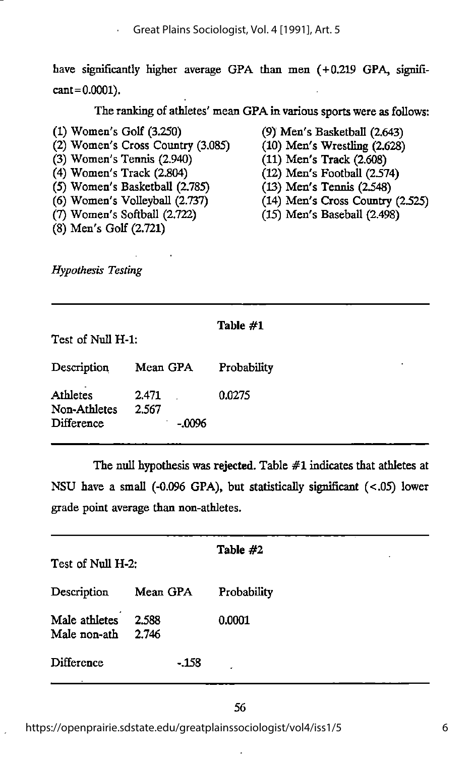have significantly higher average GPA than men (+0.219 GPA, signifi $cant = 0.0001$ ).

The ranking of athletes' mean GPA in various sports were as follows:

(1) Women's Golf (3.250) (2) Women's Cross Country (3.085) (3) Women's Tennis (2.940) (4) Women's Track (2.804) (5) Women's Basketball (2.785) (6) Women's VoUeyball (2.737)  $(7)$  Women's Softball  $(2.722)$ (8) Men's Golf (2.721)

(9) Men's Basketball (2.643)

- (10) Men's Wrestling (2.628)
- (11) Men's Track (2.608)
- $(12)$  Men's Football  $(2.574)$
- (13) Men's Tennis (2.548)
- (14) Men's Cross Coimtry (2.525)
- (15) Men's Baseball (2.498)

Hypothesis Testing

| Test of Null H-1.                             |                            | Table #1         |
|-----------------------------------------------|----------------------------|------------------|
| Description                                   | Mean GPA                   | ٠<br>Probability |
| <b>Athletes</b><br>Non-Athletes<br>Difference | 2.471<br>2.567<br>$-.0096$ | 0.0275           |

The null hypothesis was rejected. Table #1 indicates that athletes at NSU have a small (-0.096 GPA), but statistically significant (<.05) lower grade point average than non-athletes.

| Test of Null H-2:             |                | Table #2    |
|-------------------------------|----------------|-------------|
| Description                   | Mean GPA       | Probability |
| Male athletes<br>Male non-ath | 2.588<br>2.746 | 0.0001      |
| Difference                    | -.158          | ż           |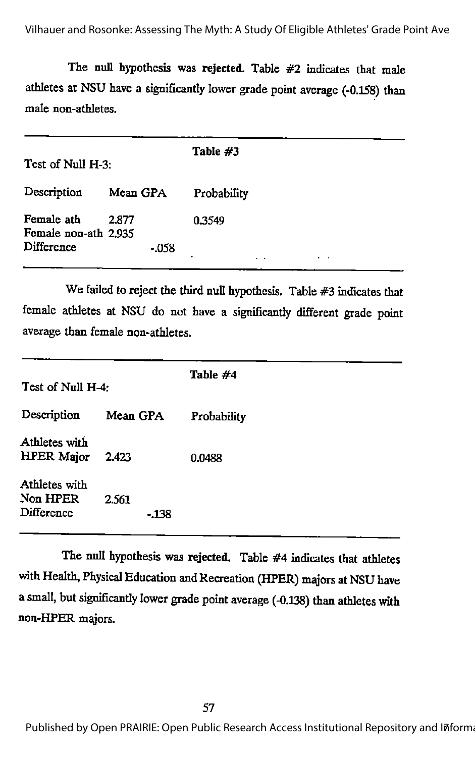The null hypothesis was rejected. Table #2 indicates that male athletes at NSU have a significantly lower grade point average (-0.158) than male non-athletes.

| Test of Null H-3:                                |                   | Table #3    |
|--------------------------------------------------|-------------------|-------------|
| Description                                      | Mean GPA          | Probability |
| Female ath<br>Female non-ath 2.935<br>Difference | 2.877<br>$-0.058$ | 0.3549      |

We failed to reject the third null hypothesis. Table #3 indicates that female athletes at NSU do not have a significantly different grade point average than female non-athletes.

| Test of Null H-4:                       |                | Table #4    |
|-----------------------------------------|----------------|-------------|
| Description                             | Mean GPA       | Probability |
| Athletes with<br><b>HPER Major</b>      | 2.423          | 0.0488      |
| Athletes with<br>Non HPER<br>Difference | 2.561<br>-.138 |             |

The null hypothesis was rejected. Table #4 indicates that athletes with Health, Physical Education and Recreation (HPER) majors at NSU have asmall, but significantly lower grade point average (-0.138) than athletes with non-HPER majors.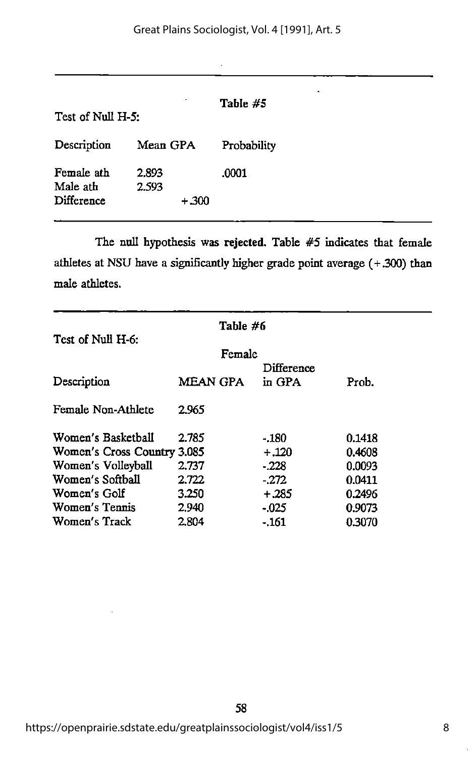| Test of Null H-5:                    |                          | Table #5    |
|--------------------------------------|--------------------------|-------------|
| Description                          | Mean GPA                 | Probability |
| Female ath<br>Male ath<br>Difference | 2.893<br>2.593<br>$+300$ | .0001       |

l,

The null hypothesis was rejected. Table #5 indicates that female athletes at NSU have a significantly higher grade point average  $(+.300)$  than male athletes.

| Test of Null H-6:           | Table #6 |        |            |        |
|-----------------------------|----------|--------|------------|--------|
|                             |          | Female |            |        |
|                             |          |        | Difference |        |
| Description                 | MEAN GPA |        | in GPA     | Prob.  |
| Female Non-Athlete          | 2.965    |        |            |        |
| Women's Basketball          | 2.785    |        | $-180$     | 0.1418 |
| Women's Cross Country 3.085 |          |        | $+.120$    | 0.4608 |
| Women's Volleyball          | 2.737    |        | $-228$     | 0.0093 |
| Women's Softball            | 2.722    |        | - 272      | 0.0411 |
| Women's Golf                | 3.250    |        | $+.285$    | 0.2496 |
| Women's Tennis              | 2.940    |        | - 025      | 0.9073 |
| Women's Track               | 2.804    |        | - 161      | 0.3070 |

https://openprairie.sdstate.edu/greatplainssociologist/vol4/iss1/5

58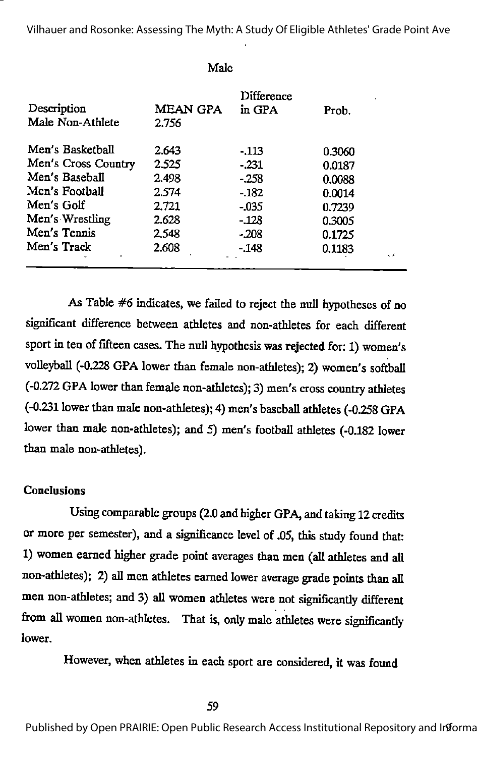Vilhauer and Rosonke: Assessing The Myth: A Study Of Eligible Athletes' Grade Point Ave

| <b>MEAN GPA</b><br>2.756 | Difference<br>in GPA | Prob.  |                            |
|--------------------------|----------------------|--------|----------------------------|
| 2.643                    | -.113                |        |                            |
| 2.525                    | $-231$               | 0.0187 |                            |
| 2.498                    | - 258                |        |                            |
| 2.574                    | $-182$               | 0.0014 |                            |
| 2.721                    | $-035$               |        |                            |
| 2.628                    | - 128                | 0.3005 |                            |
| 2.548                    | - 208                | 0.1725 |                            |
| 2.608                    | - 148                | 0.1183 | اني په                     |
|                          |                      | Male   | 0.3060<br>0.0088<br>0.7239 |

As Table #6 indicates, we failed to reject the null hypotheses of no significant difference between athletes and non-athletes for each different sport in ten of fifteen cases. The null hypothesis was rejected for: 1) women's volleyball (-0.228 GPA lower than female non-athletes); 2) women's softball (-0.272 GPA lower than female non-athletes); 3) men's cross country athletes (-0231 lower than male non-athletes); 4) men's baseball athletes (-0258 GPA lower than male non-athletes); and 5) men's football athletes (-0.182 lower than male non-athletes).

# **Conclusions**

Using comparable groups (2.0 and higher GPA, and taking 12 credits or more per semester), and a significance level of .05, this study found that: 1) women earned higher grade point averages than men (all athletes and all non-athletes); 2) all men athletes earned lower average grade points than all men non-athletes; and 3) all women athletes were not significantly different from all women non-athletes. That is, only male athletes were significantly lower.

However, when athletes in each sport are considered, it was found

Published by Open PRAIRIE: Open Public Research Access Institutional Repository and Informa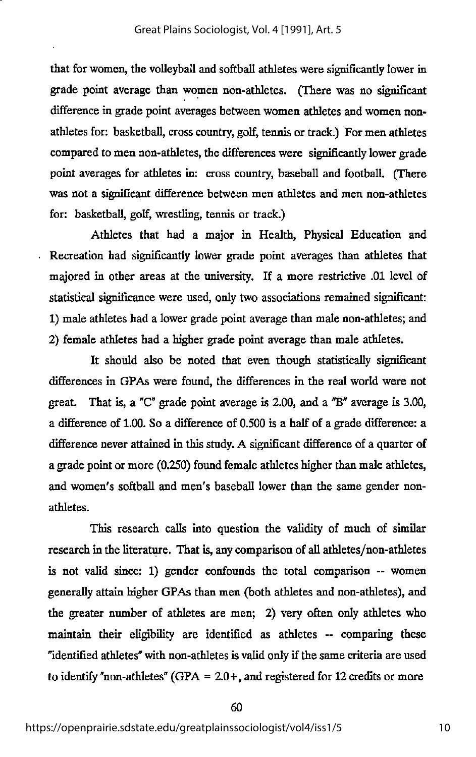that for women, the volleyball and softball athletes were significantly lower in grade point average than women non-athletes. (There was no significant difference in grade point averages between women athletes and women nonathletes for: basketball, cross country, golf, tennis or track.) For men athletes compared to men non-athletes, the differences were significantly lower grade point averages for athletes in: cross country, baseball and football. (There was not a significant difference between men athletes and men non-athletes for: basketball, golf, wrestling, tennis or track.)

Athletes that had a major in Health, Physical Education and Recreation had significantly lower grade point averages than athletes that majored in other areas at the university. If a more restrictive .01 level of statistical significance were used, only two associations remained significant: 1) male athletes had a lower grade point average than male non-athletes; and 2) female athletes had a higher grade point average than male athletes.

It should also be noted that even though statistically significant differences in GPAs were foimd, the differences in the real world were not great. That is, a " $C''$  grade point average is 2.00, and a " $B''$  average is 3.00, a difference of 1.00. So a difference of 0.500 is a half of a grade difference: a difference never attained in this study. A significant difference of a quarter of a grade point or more (0.250) found female athletes higher than male athletes, and women's softball and men's baseball lower than the same gender nonathletes.

This research calls into question the validity of much of similar research in the literature. That is, any comparison of all athletes/non-athletes is not valid since: 1) gender confounds the total comparison -- women generally attain higher GPAs than men (both athletes and non-athletes), and the greater number of athletes are men; 2) very often only athletes who maintain their eligibility are identified as athletes - comparing these "identified athletes" with non-athletes is valid only if the same criteria are used to identify "non-athletes" (GPA =  $2.0+$ , and registered for 12 credits or more

60